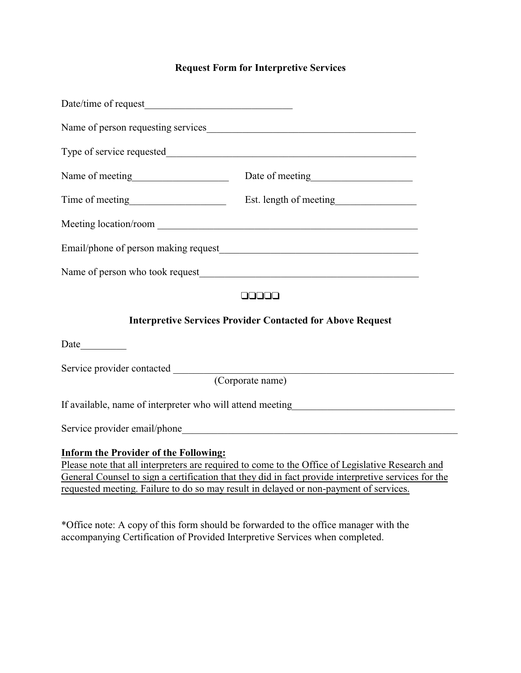## **Request Form for Interpretive Services**

| Date/time of request                                                                                                                                                                                                                                                                                                                             |                                                        |
|--------------------------------------------------------------------------------------------------------------------------------------------------------------------------------------------------------------------------------------------------------------------------------------------------------------------------------------------------|--------------------------------------------------------|
|                                                                                                                                                                                                                                                                                                                                                  | Name of person requesting services                     |
|                                                                                                                                                                                                                                                                                                                                                  |                                                        |
|                                                                                                                                                                                                                                                                                                                                                  | Name of meeting Date of meeting Date of meeting        |
|                                                                                                                                                                                                                                                                                                                                                  | Time of meeting<br>Est. length of meeting<br>Est. 2013 |
|                                                                                                                                                                                                                                                                                                                                                  |                                                        |
|                                                                                                                                                                                                                                                                                                                                                  |                                                        |
| Name of person who took request<br><u>Name of person</u> who took request<br><u>Name of person who took request</u>                                                                                                                                                                                                                              |                                                        |
| 00000                                                                                                                                                                                                                                                                                                                                            |                                                        |
| <b>Interpretive Services Provider Contacted for Above Request</b>                                                                                                                                                                                                                                                                                |                                                        |
| Date                                                                                                                                                                                                                                                                                                                                             |                                                        |
| Service provider contacted<br><u> 1989 - Johann Barbara, martxa amerikan bashkar (</u><br>(Corporate name)                                                                                                                                                                                                                                       |                                                        |
| If available, name of interpreter who will attend meeting________________________                                                                                                                                                                                                                                                                |                                                        |
|                                                                                                                                                                                                                                                                                                                                                  |                                                        |
| <b>Inform the Provider of the Following:</b><br>Please note that all interpreters are required to come to the Office of Legislative Research and<br>General Counsel to sign a certification that they did in fact provide interpretive services for the<br>requested meeting. Failure to do so may result in delayed or non-payment of services. |                                                        |

\*Office note: A copy of this form should be forwarded to the office manager with the accompanying Certification of Provided Interpretive Services when completed.